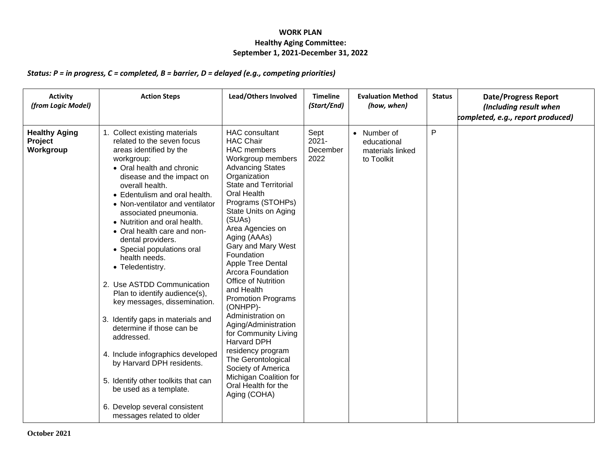## **WORK PLAN Healthy Aging Committee: September 1, 2021-December 31, 2022**

## *Status: P = in progress, C = completed, B = barrier, D = delayed (e.g., competing priorities)*

| <b>Activity</b><br>(from Logic Model)        | <b>Action Steps</b>                                                                                                                                                                                                                                                                                                                                                                                                                                                                                                                                                                                                                                                                                                                                                                                                   | Lead/Others Involved                                                                                                                                                                                                                                                                                                                                                                                                                                                                                                                                                                                                                                               | <b>Timeline</b><br>(Start/End)       | <b>Evaluation Method</b><br>(how, when)                      | <b>Status</b> | <b>Date/Progress Report</b><br>(Including result when<br>completed, e.g., report produced) |
|----------------------------------------------|-----------------------------------------------------------------------------------------------------------------------------------------------------------------------------------------------------------------------------------------------------------------------------------------------------------------------------------------------------------------------------------------------------------------------------------------------------------------------------------------------------------------------------------------------------------------------------------------------------------------------------------------------------------------------------------------------------------------------------------------------------------------------------------------------------------------------|--------------------------------------------------------------------------------------------------------------------------------------------------------------------------------------------------------------------------------------------------------------------------------------------------------------------------------------------------------------------------------------------------------------------------------------------------------------------------------------------------------------------------------------------------------------------------------------------------------------------------------------------------------------------|--------------------------------------|--------------------------------------------------------------|---------------|--------------------------------------------------------------------------------------------|
| <b>Healthy Aging</b><br>Project<br>Workgroup | 1. Collect existing materials<br>related to the seven focus<br>areas identified by the<br>workgroup:<br>• Oral health and chronic<br>disease and the impact on<br>overall health.<br>• Edentulism and oral health.<br>• Non-ventilator and ventilator<br>associated pneumonia.<br>• Nutrition and oral health.<br>• Oral health care and non-<br>dental providers.<br>• Special populations oral<br>health needs.<br>• Teledentistry.<br>2. Use ASTDD Communication<br>Plan to identify audience(s),<br>key messages, dissemination.<br>3. Identify gaps in materials and<br>determine if those can be<br>addressed.<br>4. Include infographics developed<br>by Harvard DPH residents.<br>5. Identify other toolkits that can<br>be used as a template.<br>6. Develop several consistent<br>messages related to older | <b>HAC</b> consultant<br><b>HAC Chair</b><br><b>HAC</b> members<br>Workgroup members<br><b>Advancing States</b><br>Organization<br><b>State and Territorial</b><br>Oral Health<br>Programs (STOHPs)<br>State Units on Aging<br>(SUAs)<br>Area Agencies on<br>Aging (AAAs)<br>Gary and Mary West<br>Foundation<br>Apple Tree Dental<br>Arcora Foundation<br>Office of Nutrition<br>and Health<br><b>Promotion Programs</b><br>(ONHPP)-<br>Administration on<br>Aging/Administration<br>for Community Living<br><b>Harvard DPH</b><br>residency program<br>The Gerontological<br>Society of America<br>Michigan Coalition for<br>Oral Health for the<br>Aging (COHA) | Sept<br>$2021 -$<br>December<br>2022 | • Number of<br>educational<br>materials linked<br>to Toolkit | P             |                                                                                            |